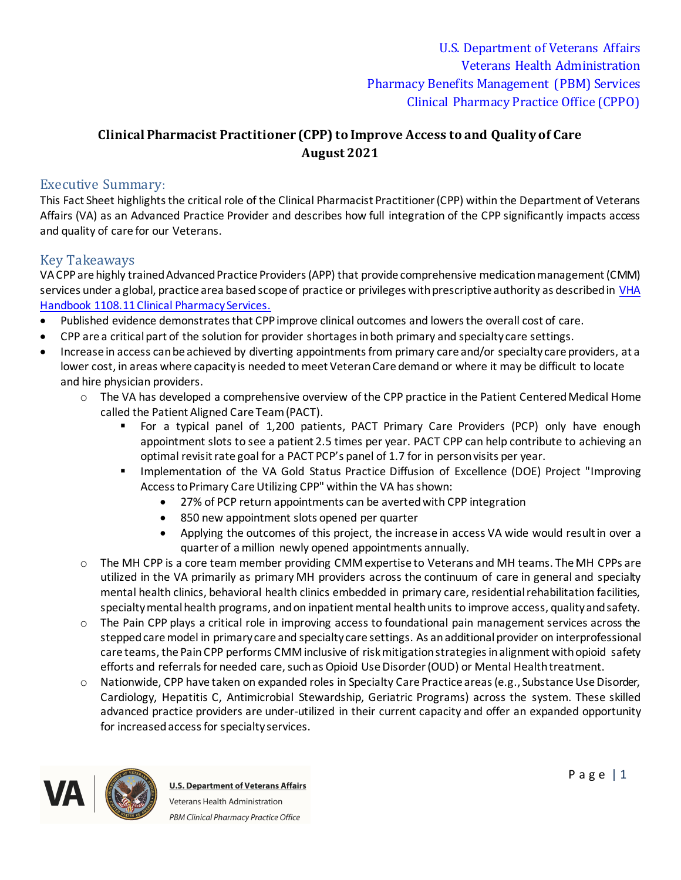## **Clinical Pharmacist Practitioner (CPP) to Improve Access to and Quality of Care August 2021**

### Executive Summary:

This Fact Sheet highlights the critical role of the Clinical Pharmacist Practitioner (CPP) within the Department of Veterans Affairs (VA) as an Advanced Practice Provider and describes how full integration of the CPP significantly impacts access and quality of care for our Veterans.

### Key Takeaways

VA CPPare highly trained Advanced Practice Providers (APP) that provide comprehensive medication management (CMM) services under a global, practice area based scope of practice or privileges with prescriptive authority as described in [VHA](https://www.va.gov/vhapublications/ViewPublication.asp?pub_ID=3120)  [Handbook 1108.11 Clinical Pharmacy Services.](https://www.va.gov/vhapublications/ViewPublication.asp?pub_ID=3120)

- · Published evidence demonstrates that CPPimprove clinical outcomes and lowers the overall cost of care.
- · CPP are a critical part of the solution for provider shortages in both primary and specialty care settings.
- · Increase in access can be achieved by diverting appointments from primary care and/or specialty care providers, at a lower cost, in areas where capacity is needed to meet Veteran Care demand or where it may be difficult to locate and hire physician providers.
	- o [The](\\v12.med.va.gov\v12\V12\Services\PBMClinicalPharmPracticeOffice\FACT SHEETS\Access\PBM Guidance Pharmacy Business Rules for PACT.pdf) VA has developed a comprehensive overview of the CPP practice in the Patient Centered Medical Home called the Patient Aligned Care Team (PACT).
		- § For a typical panel of 1,200 patients, PACT Primary Care Providers (PCP) only have enough appointment slots to see a patient 2.5 times per year. PACT CPP can help contribute to achieving an optimal revisit rate goal for a PACT PCP's panel of 1.7 for in person visits per year.
		- Implementation of the VA Gold Status Practice Diffusion of Excellence (DOE) Project "Improving Access to Primary Care Utilizing CPP" within the VA has shown:
			- · 27% of PCP return appointments can be averted with CPP integration
			- · 850 new appointment slots opened per quarter
			- · Applying the outcomes of this project, the increase in access VA wide would resultin over a quarter of a million newly opened appointments annually.
	- o The MH CPP is a core team member providing CMM expertise to Veterans and MH teams. The MH CPPs are utilized in the VA primarily as primary MH providers across the continuum of care in general and specialty mental health clinics, behavioral health clinics embedded in primary care, residential rehabilitation facilities, specialty mental health programs, and on inpatient mental health units to improve access, quality and safety.
	- o The Pain CPP plays a critical role in improving access to foundational pain management services across the stepped care model in primary care and specialty care settings. As anadditional provider on interprofessional care teams, the Pain CPP performs CMM inclusive of risk mitigation strategies in alignment with opioid safety efforts and referrals for needed care, such as Opioid Use Disorder (OUD) or Mental Health treatment.
	- o Nationwide, CPP have taken on expanded roles in Specialty Care Practice areas (e.g., Substance Use Disorder, Cardiology, Hepatitis C, Antimicrobial Stewardship, Geriatric Programs) across the system. These skilled advanced practice providers are under-utilized in their current capacity and offer an expanded opportunity for increasedaccess for specialty services.

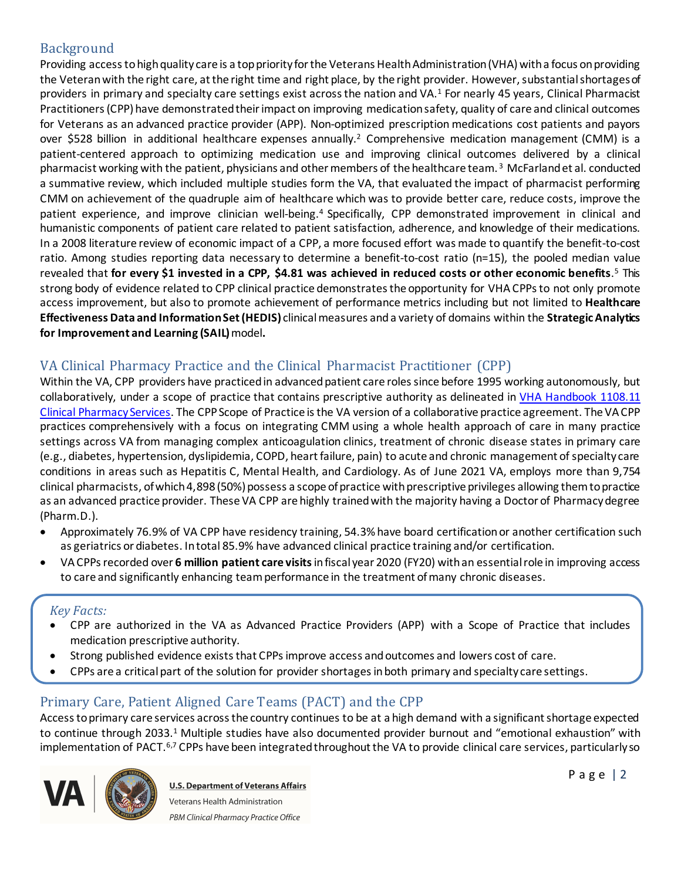### Background

Providing access to high quality care is a top priority for the Veterans Health Administration (VHA) with a focus on providing the Veteran with the right care, at the right time and right place, by the right provider. However, substantial shortages of providers in primary and specialty care settings exist across the nation and VA.<sup>1</sup> For nearly 45 years, Clinical Pharmacist Practitioners (CPP) have demonstrated their impact on improving medication safety, quality of care and clinical outcomes for Veterans as an advanced practice provider (APP). Non-optimized prescription medications cost patients and payors over \$528 billion in additional healthcare expenses annually.<sup>2</sup> Comprehensive medication management (CMM) is a patient-centered approach to optimizing medication use and improving clinical outcomes delivered by a clinical pharmacist working with the patient, physicians and other members of the healthcare team.<sup>3</sup> McFarland et al. conducted a summative review, which included multiple studies form the VA, that evaluated the impact of pharmacist performing CMM on achievement of the quadruple aim of healthcare which was to provide better care, reduce costs, improve the patient experience, and improve clinician well-being.<sup>4</sup> Specifically, CPP demonstrated improvement in clinical and humanistic components of patient care related to patient satisfaction, adherence, and knowledge of their medications. In a 2008 literature review of economic impact of a CPP, a more focused effort was made to quantify the benefit-to-cost ratio. Among studies reporting data necessary to determine a benefit-to-cost ratio (n=15), the pooled median value revealed that **for every \$1 invested in a CPP, \$4.81 was achieved in reduced costs or other economic benefits**. <sup>5</sup>This strong body of evidence related to CPP clinical practice demonstrates the opportunity for VHA CPPs to not only promote access improvement, but also to promote achievement of performance metrics including but not limited to **Healthcare Effectiveness Data and Information Set (HEDIS)** clinical measures and a variety of domains within the **Strategic Analytics for Improvement and Learning (SAIL)**model**.**

## VA Clinical Pharmacy Practice and the Clinical Pharmacist Practitioner (CPP)

Within the VA, CPP providers have practiced in advanced patient care roles since before 1995 working autonomously, but collaboratively, under a scope of practice that contains prescriptive authority as delineated in VHA Handbook 1108.11 [Clinical Pharmacy Services](https://www.va.gov/vhapublications/ViewPublication.asp?pub_ID=3120). The CPPScope of Practice is the VA version of a collaborative practice agreement. The VA CPP practices comprehensively with a focus on integrating CMM using a whole health approach of care in many practice settings across VA from managing complex anticoagulation clinics, treatment of chronic disease states in primary care (e.g., diabetes, hypertension, dyslipidemia, COPD, heart failure, pain) to acute and chronic management of specialty care conditions in areas such as Hepatitis C, Mental Health, and Cardiology. As of June 2021 VA, employs more than 9,754 clinical pharmacists, of which 4,898 (50%) possess a scope of practice withprescriptive privileges allowing them to practice as an advanced practice provider. These VA CPP are highly trained with the majority having a Doctor of Pharmacy degree (Pharm.D.).

- · Approximately 76.9% of VA CPP have residency training, 54.3% have board certification or another certification such as geriatrics or diabetes. In total 85.9% have advanced clinical practice training and/or certification.
- · VA CPPs recorded over **6 million patient care visits**infiscal year 2020 (FY20) with an essential role in improving access to care and significantly enhancing team performance in the treatment of many chronic diseases.

#### *Key Facts:*

- · CPP are authorized in the VA as Advanced Practice Providers (APP) with a Scope of Practice that includes medication prescriptive authority.
- Strong published evidence exists that CPPs improve access and outcomes and lowers cost of care.
- · CPPs are a critical part of the solution for provider shortages in both primary and specialty care settings.

## Primary Care, Patient Aligned Care Teams (PACT) and the CPP

Access to primary care services across the country continues to be at a high demand with a significant shortage expected to continue through 2033.<sup>1</sup> Multiple studies have also documented provider burnout and "emotional exhaustion" with implementation of PACT.<sup>6,7</sup> CPPs have been integrated throughout the VA to provide clinical care services, particularly so

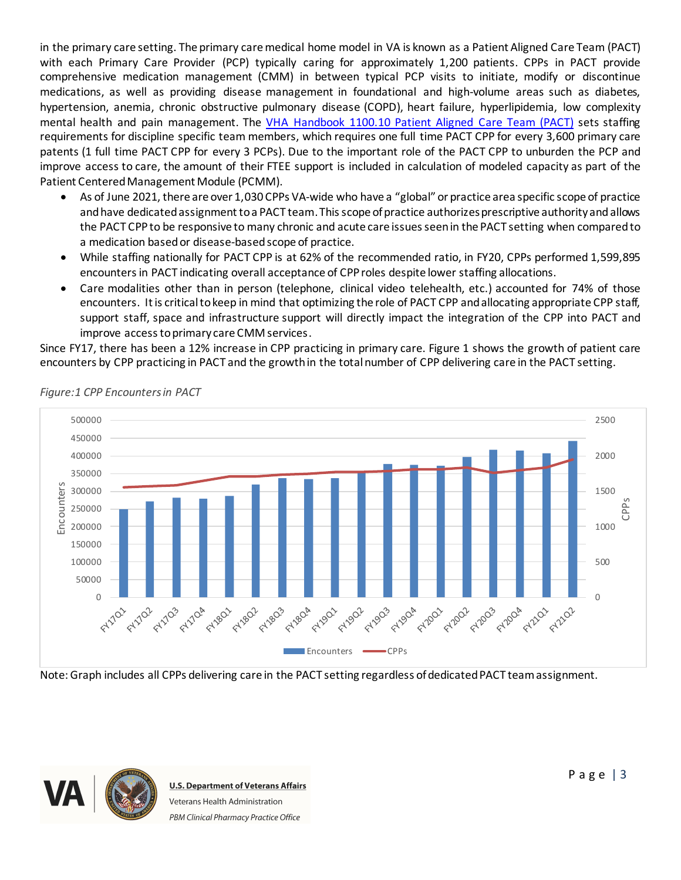in the primary care setting. The primary care medical home model in VA is known as a Patient Aligned Care Team (PACT) with each Primary Care Provider (PCP) typically caring for approximately 1,200 patients. CPPs in PACT provide comprehensive medication management (CMM) in between typical PCP visits to initiate, modify or discontinue medications, as well as providing disease management in foundational and high-volume areas such as diabetes, hypertension, anemia, chronic obstructive pulmonary disease (COPD), heart failure, hyperlipidemia, low complexity mental health and pain management. The VHA Handbook 1100.10 [Patient Aligned Care Team \(PACT\)](https://www.va.gov/vhapublications/ViewPublication.asp?pub_ID=2977) sets staffing requirements for discipline specific team members, which requires one full time PACT CPP for every 3,600 primary care patents (1 full time PACT CPP for every 3 PCPs). Due to the important role of the PACT CPP to unburden the PCP and improve access to care, the amount of their FTEE support is included in calculation of modeled capacity as part of the Patient Centered Management Module (PCMM).

- As of June 2021, there are over 1,030 CPPs VA-wide who have a "global" or practice area specific scope of practice and have dedicated assignment to a PACT team. This scope of practice authorizes prescriptive authority and allows the PACT CPPto be responsive to many chronic and acute care issues seen in the PACT setting when compared to a medication based or disease-basedscope of practice.
- · While staffing nationally for PACT CPP is at 62% of the recommended ratio, in FY20, CPPs performed 1,599,895 encounters in PACT indicating overall acceptance of CPProles despite lower staffing allocations.
- Care modalities other than in person (telephone, clinical video telehealth, etc.) accounted for 74% of those encounters. It is critical to keep in mind that optimizing the role of PACT CPP and allocating appropriate CPP staff, support staff, space and infrastructure support will directly impact the integration of the CPP into PACT and improve access to primary care CMM services.

Since FY17, there has been a 12% increase in CPP practicing in primary care. Figure 1 shows the growth of patient care encounters by CPP practicing in PACT and the growth in the total number of CPP delivering care in the PACT setting.



*Figure:1 CPP Encounters in PACT*

Note: Graph includes all CPPs delivering care in the PACT setting regardless of dedicated PACT team assignment.

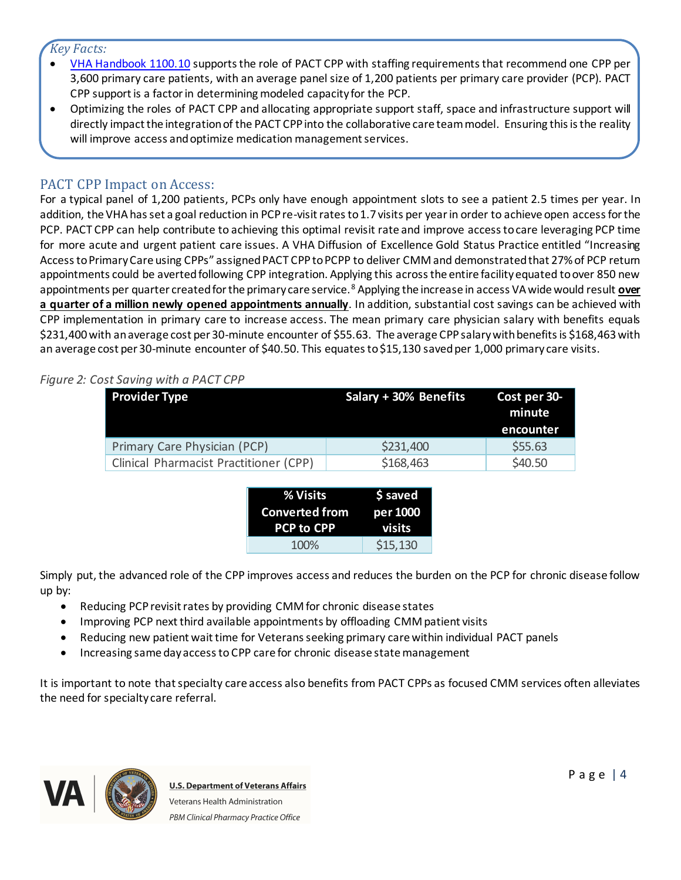### *Key Facts:*

- · [VHA Handbook 1100.10](https://www.va.gov/vhapublications/ViewPublication.asp?pub_ID=2977) supports the role of PACT CPP with staffing requirements that recommend one CPP per 3,600 primary care patients, with an average panel size of 1,200 patients per primary care provider (PCP). PACT CPP support is a factor in determining modeled capacity for the PCP.
- · Optimizing the roles of PACT CPP and allocating appropriate support staff, space and infrastructure support will directly impact the integration of the PACT CPP into the collaborative care team model. Ensuring this is the reality will improve access and optimize medication management services.

### PACT CPP Impact on Access:

For a typical panel of 1,200 patients, PCPs only have enough appointment slots to see a patient 2.5 times per year. In addition, the VHA has set a goal reduction in PCP re-visit rates to 1.7 visits per year in order to achieve open access for the PCP. PACT CPP can help contribute to achieving this optimal revisit rate and improve access to care leveraging PCP time for more acute and urgent patient care issues. A VHA Diffusion of Excellence Gold Status Practice entitled "Increasing Access to Primary Care using CPPs" assigned PACT CPPto PCPP to deliver CMM and demonstrated that 27% of PCP return appointments could be averted following CPP integration. Applying this across the entire facility equated to over 850 new appointments per quarter created for the primary care service. <sup>8</sup> Applying the increase in access VA wide would result **over a quarter of a million newly opened appointments annually**. In addition, substantial cost savings can be achieved with CPP implementation in primary care to increase access. The mean primary care physician salary with benefits equals \$231,400 with an average cost per 30-minute encounter of \$55.63. The average CPPsalary with benefits is \$168,463 with an average cost per 30-minute encounter of \$40.50. This equates to \$15,130 saved per 1,000 primary care visits.

#### *Figure 2: Cost Saving with a PACT CPP*

| <b>Provider Type</b>                   | Salary + 30% Benefits | Cost per 30-<br>minute<br>encounter |
|----------------------------------------|-----------------------|-------------------------------------|
| Primary Care Physician (PCP)           | \$231,400             | \$55.63                             |
| Clinical Pharmacist Practitioner (CPP) | \$168,463             | \$40.50                             |

| % Visits              | \$ saved      |  |
|-----------------------|---------------|--|
| <b>Converted from</b> | per 1000      |  |
|                       |               |  |
| <b>PCP to CPP</b>     | <b>visits</b> |  |

Simply put, the advanced role of the CPP improves access and reduces the burden on the PCP for chronic disease follow up by:

- Reducing PCP revisit rates by providing CMM for chronic disease states
- · Improving PCP next third available appointments by offloading CMM patient visits
- Reducing new patient wait time for Veterans seeking primary care within individual PACT panels
- · Increasing same day access to CPP care for chronic disease state management

It is important to note that specialty care access also benefits from PACT CPPs as focused CMM services often alleviates the need for specialty care referral.

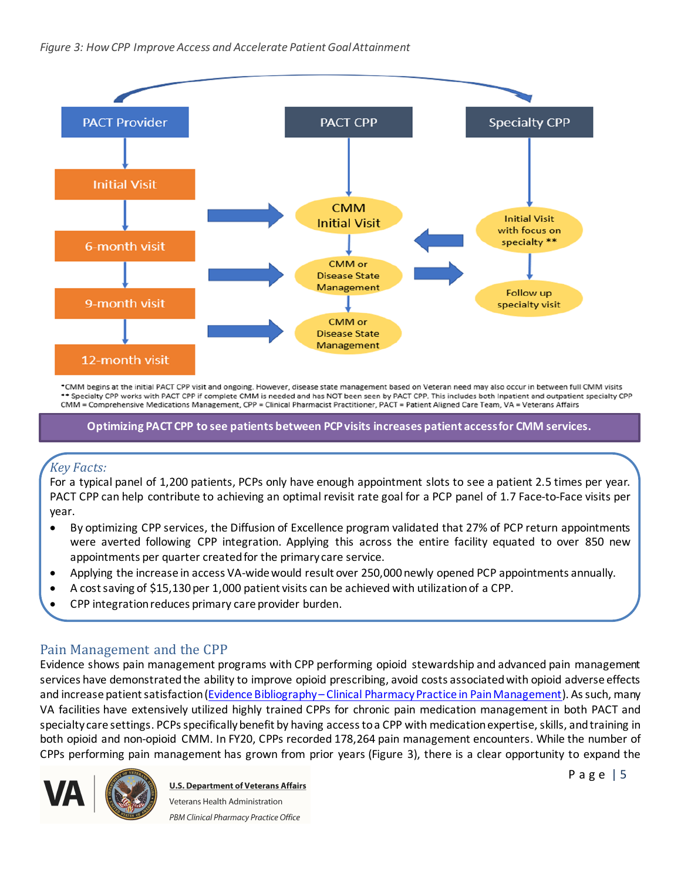

\*CMM begins at the initial PACT CPP visit and ongoing. However, disease state management based on Veteran need may also occur in between full CMM visits \*\* Specialty CPP works with PACT CPP if complete CMM is needed and has NOT been seen by PACT CPP. This includes both Inpatient and outpatient specialty CPP CMM = Comprehensive Medications Management, CPP = Clinical Pharmacist Practitioner, PACT = Patient Aligned Care Team, VA = Veterans Affairs

**Optimizing PACT CPP to see patients between PCPvisits increases patient access for CMM services.**

# *Key Facts:*

For a typical panel of 1,200 patients, PCPs only have enough appointment slots to see a patient 2.5 times per year. PACT CPP can help contribute to achieving an optimal revisit rate goal for a PCP panel of 1.7 Face-to-Face visits per year.

- · By optimizing CPP services, the Diffusion of Excellence program validated that 27% of PCP return appointments were averted following CPP integration. Applying this across the entire facility equated to over 850 new appointments per quarter created for the primary care service.
- · Applying the increase in access VA-wide would result over 250,000 newly opened PCP appointments annually.
- · A cost saving of \$15,130 per 1,000 patient visits can be achieved with utilization of a CPP.
- · CPP integration reduces primary care provider burden.

### Pain Management and the CPP

Evidence shows pain management programs with CPP performing opioid stewardship and advanced pain management services have demonstrated the ability to improve opioid prescribing, avoid costs associated with opioid adverse effects and increase patient satisfaction (Evidence Bibliography – [Clinical Pharmacy Practice in Pain Management](https://www.pbm.va.gov/PBM/CPPO/Documents/EvidenceBibliography_ClinicalPharmacyPracticeinPainManagement_508.pdf)). As such, many VA facilities have extensively utilized highly trained CPPs for chronic pain medication management in both PACT and specialty care settings. PCPs specifically benefit by having access to a CPP with medication expertise, skills, and training in both opioid and non-opioid CMM. In FY20, CPPs recorded 178,264 pain management encounters. While the number of CPPs performing pain management has grown from prior years (Figure 3), there is a clear opportunity to expand the



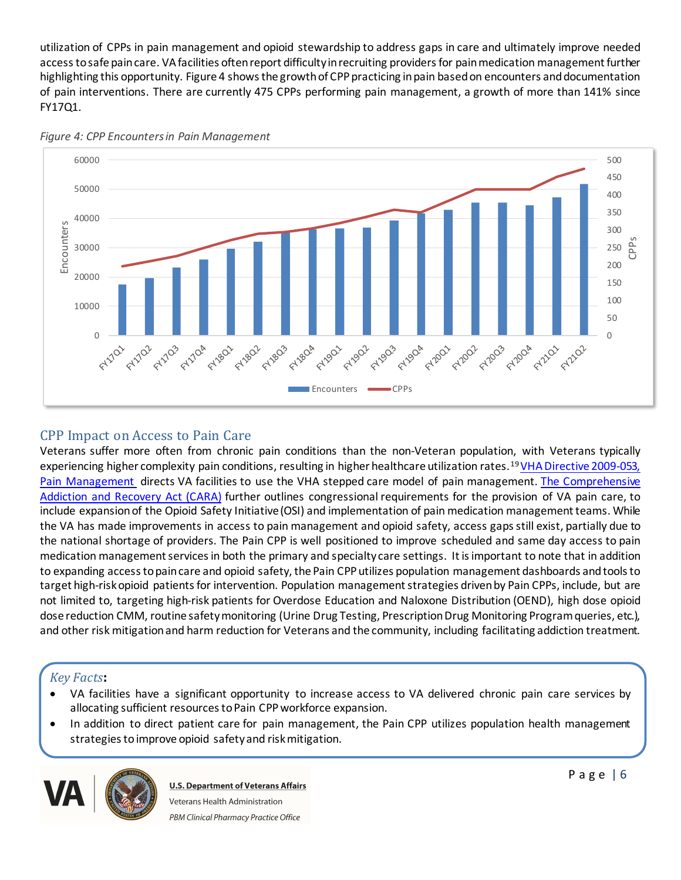utilization of CPPs in pain management and opioid stewardship to address gaps in care and ultimately improve needed access to safe pain care. VA facilities often report difficulty in recruiting providers for pain medication management further highlighting this opportunity. Figure 4 shows the growth of CPP practicing in pain based on encounters and documentation of pain interventions. There are currently 475 CPPs performing pain management, a growth of more than 141% since FY17Q1.



*Figure 4: CPP Encounters in Pain Management*

## CPP Impact on Access to Pain Care

Veterans suffer more often from chronic pain conditions than the non-Veteran population, with Veterans typically experiencing higher complexity pain conditions, resulting in higher healthcare utilization rates.<sup>19</sup>[VHA Directive 2009-053,](https://www.va.gov/vhapublications/ViewPublication.asp?pub_ID=2781)  [Pain Management](https://www.va.gov/vhapublications/ViewPublication.asp?pub_ID=2781) directs VA facilities to use the VHA stepped care model of pain management. [The Comprehensive](https://www.congress.gov/114/plaws/publ198/PLAW-114publ198.pdf)  [Addiction and Recovery Act \(CARA\)](https://www.congress.gov/114/plaws/publ198/PLAW-114publ198.pdf) further outlines congressional requirements for the provision of VA pain care, to include expansion of the Opioid Safety Initiative(OSI) and implementation of pain medication management teams. While the VA has made improvements in access to pain management and opioid safety, access gaps still exist, partially due to the national shortage of providers. The Pain CPP is well positioned to improve scheduled and same day access to pain medication management services in both the primary and specialty care settings. It is important to note that in addition to expanding access to pain care and opioid safety, the Pain CPPutilizes population management dashboards and tools to target high-risk opioid patients for intervention. Population management strategies driven by Pain CPPs, include, but are not limited to, targeting high-risk patients for Overdose Education and Naloxone Distribution (OEND), high dose opioid dose reduction CMM, routine safety monitoring (Urine Drug Testing, Prescription Drug Monitoring Program queries, etc.), and other risk mitigationand harm reduction for Veterans and the community, including facilitating addiction treatment.

## *Key Facts***:**

- · VA facilities have a significant opportunity to increase access to VA delivered chronic pain care services by allocating sufficient resources to Pain CPP workforce expansion.
- · In addition to direct patient care for pain management, the Pain CPP utilizes population health management strategies to improve opioid safety and risk mitigation.

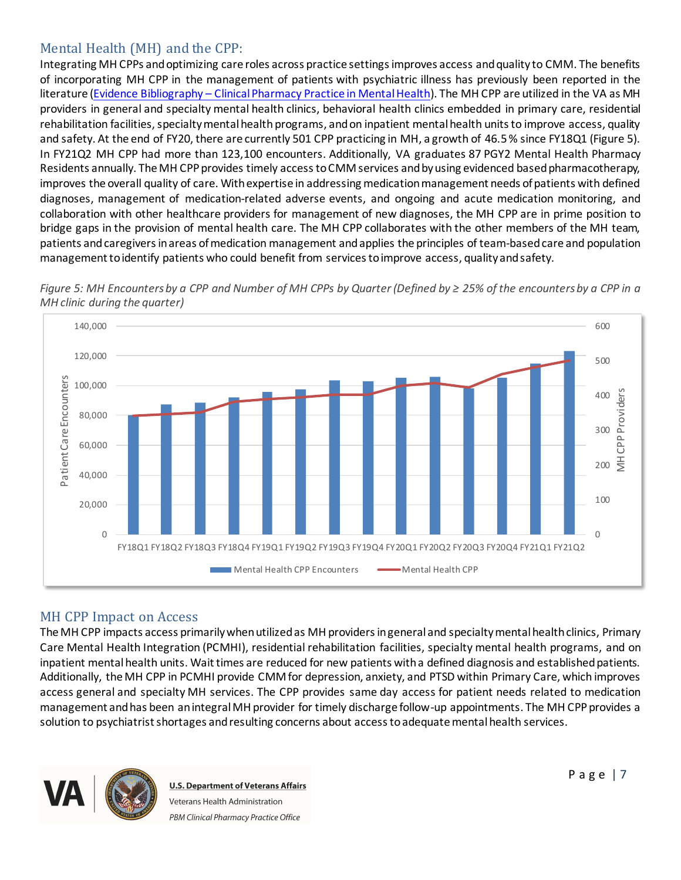## Mental Health (MH) and the CPP:

Integrating MH CPPs and optimizing care roles across practice settings improves access and quality to CMM. The benefits of incorporating MH CPP in the management of patients with psychiatric illness has previously been reported in the literature (Evidence Bibliography – [Clinical Pharmacy Practice in Mental Health](https://www.pbm.va.gov/PBM/CPPO/Documents/EvidenceBibliography_ClinicalPharmacyPracticeinMentalHealth_508.pdf)). The MH CPP are utilized in the VA as MH providers in general and specialty mental health clinics, behavioral health clinics embedded in primary care, residential rehabilitation facilities, specialty mental health programs, and on inpatient mental health units to improve access, quality and safety. At the end of FY20, there are currently 501 CPP practicing in MH, a growth of 46.5% since FY18Q1 (Figure 5). In FY21Q2 MH CPP had more than 123,100 encounters. Additionally, VA graduates 87 PGY2 Mental Health Pharmacy Residents annually. The MH CPP provides timely access to CMM services and by using evidenced based pharmacotherapy, improves the overall quality of care. With expertise in addressing medication management needs of patients with defined diagnoses, management of medication-related adverse events, and ongoing and acute medication monitoring, and collaboration with other healthcare providers for management of new diagnoses, the MH CPP are in prime position to bridge gaps in the provision of mental health care. The MH CPP collaborates with the other members of the MH team, patients and caregivers in areas of medication management andapplies the principles of team-basedcare and population management to identify patients who could benefit from services to improve access, quality and safety.



*Figure 5: MH Encounters by a CPP and Number of MH CPPs by Quarter (Defined by ≥ 25% of the encounters by a CPP in a MH clinic during the quarter)*

# MH CPP Impact on Access

The MH CPP impacts access primarily when utilized as MH providers in general and specialty mental health clinics, Primary Care Mental Health Integration (PCMHI), residential rehabilitation facilities, specialty mental health programs, and on inpatient mental health units. Wait times are reduced for new patients with a defined diagnosis and established patients. Additionally, the MH CPP in PCMHI provide CMM for depression, anxiety, and PTSD within Primary Care, which improves access general and specialty MH services. The CPP provides same day access for patient needs related to medication management and has been an integral MH provider for timely discharge follow-up appointments. The MH CPP provides a solution to psychiatrist shortages and resulting concerns about access to adequate mental health services.



**U.S. Department of Veterans Affairs** Veterans Health Administration PBM Clinical Pharmacy Practice Office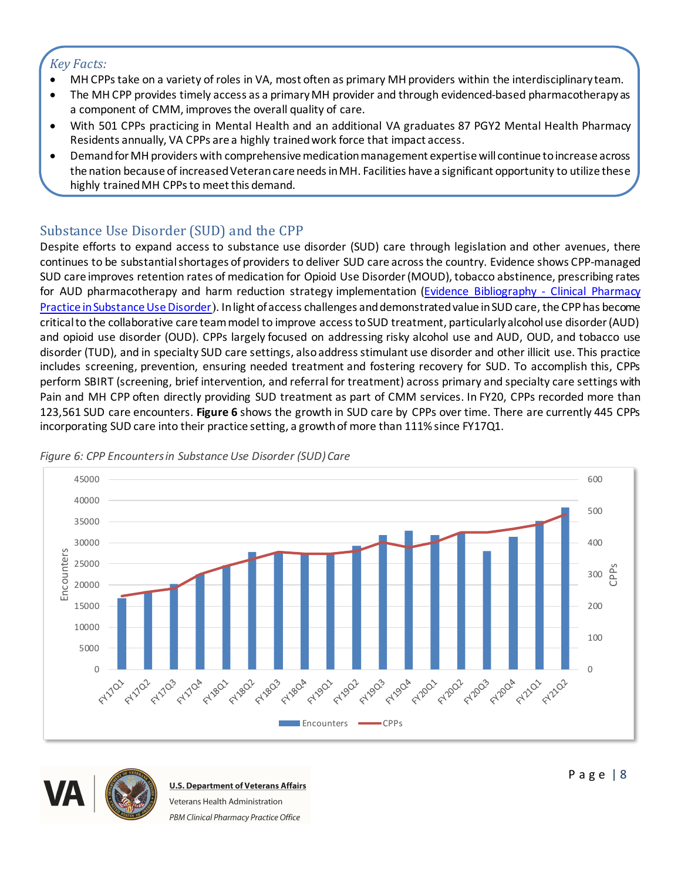### *Key Facts:*

- · MH CPPstake on a variety of roles in VA, most often as primary MH providers within the interdisciplinary team.
- The MH CPP provides timely access as a primary MH provider and through evidenced-based pharmacotherapy as a component of CMM, improves the overall quality of care.
- · With 501 CPPs practicing in Mental Health and an additional VA graduates 87 PGY2 Mental Health Pharmacy Residents annually, VA CPPs are a highly trainedwork force that impact access.
- · Demand for MH providers with comprehensive medication management expertise will continue to increase across the nation because of increased Veteran care needs in MH. Facilities have a significant opportunity to utilize these highly trained MH CPPs to meet this demand.

# Substance Use Disorder (SUD) and the CPP

Despite efforts to expand access to substance use disorder (SUD) care through legislation and other avenues, there continues to be substantial shortages of providers to deliver SUD care across the country. Evidence shows CPP-managed SUD care improves retention rates of medication for Opioid Use Disorder (MOUD), tobacco abstinence, prescribing rates for AUD pharmacotherapy and harm reduction strategy implementation ([Evidence Bibliography -](https://www.pbm.va.gov/PBM/CPPO/Documents/EvidenceBibliography_ClinicalPharmacyPracticeinSubstanceUseDisorder_508.pdf) Clinical Pharmacy [Practice in Substance Use Disorder](https://www.pbm.va.gov/PBM/CPPO/Documents/EvidenceBibliography_ClinicalPharmacyPracticeinSubstanceUseDisorder_508.pdf)). In light of access challenges and demonstrated value in SUD care, the CPPhas become critical to the collaborative care team model to improve access to SUD treatment, particularly alcohol use disorder (AUD) and opioid use disorder (OUD). CPPs largely focused on addressing risky alcohol use and AUD, OUD, and tobacco use disorder (TUD), and in specialty SUD care settings, also address stimulant use disorder and other illicit use. This practice includes screening, prevention, ensuring needed treatment and fostering recovery for SUD. To accomplish this, CPPs perform SBIRT (screening, brief intervention, and referral for treatment) across primary and specialty care settings with Pain and MH CPP often directly providing SUD treatment as part of CMM services. In FY20, CPPs recorded more than 123,561 SUD care encounters. **Figure 6** shows the growth in SUD care by CPPs over time. There are currently 445 CPPs incorporating SUD care into their practice setting, a growth of more than 111% since FY17Q1.



*Figure 6: CPP Encounters in Substance Use Disorder (SUD) Care*

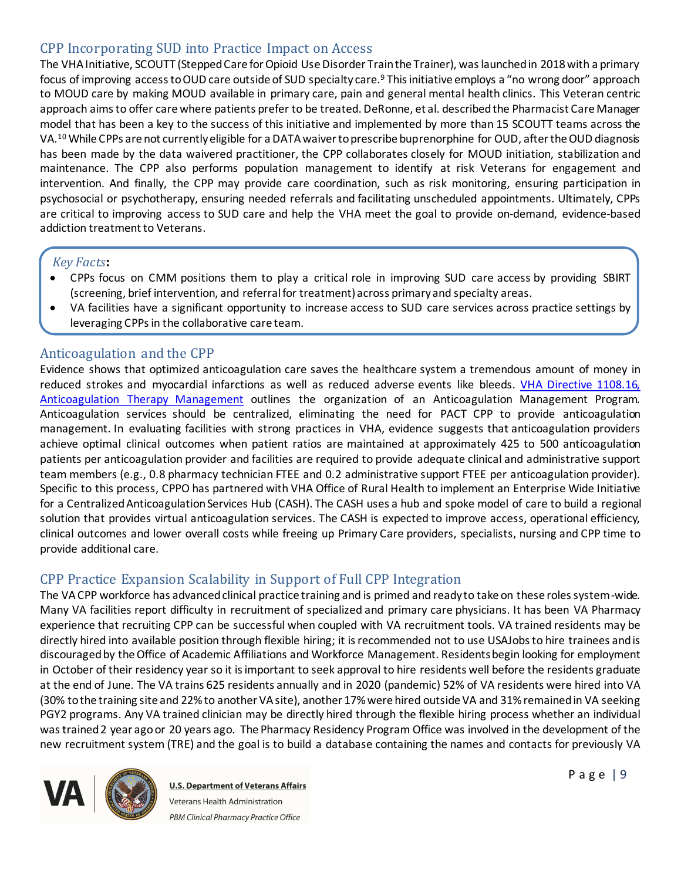### CPP Incorporating SUD into Practice Impact on Access

The VHA Initiative, SCOUTT (Stepped Care for Opioid Use Disorder Train the Trainer), was launched in 2018 with a primary focus of improving access to OUD care outside of SUD specialty care.<sup>9</sup> This initiative employs a "no wrong door" approach to MOUD care by making MOUD available in primary care, pain and general mental health clinics. This Veteran centric approach aims to offer care where patients prefer to be treated. DeRonne, et al. described the Pharmacist Care Manager model that has been a key to the success of this initiative and implemented by more than 15 SCOUTT teams across the VA.<sup>10</sup> While CPPs are not currently eligible for a DATA waiver to prescribe buprenorphine for OUD, after the OUD diagnosis has been made by the data waivered practitioner, the CPP collaborates closely for MOUD initiation, stabilization and maintenance. The CPP also performs population management to identify at risk Veterans for engagement and intervention. And finally, the CPP may provide care coordination, such as risk monitoring, ensuring participation in psychosocial or psychotherapy, ensuring needed referrals and facilitating unscheduled appointments. Ultimately, CPPs are critical to improving access to SUD care and help the VHA meet the goal to provide on-demand, evidence-based addiction treatment to Veterans.

#### *Key Facts***:**

- · CPPs focus on CMM positions them to play a critical role in improving SUD care access by providing SBIRT (screening, brief intervention, and referral for treatment) across primary and specialty areas.
- · VA facilities have a significant opportunity to increase access to SUD care services across practice settings by leveraging CPPs in the collaborative care team.

#### Anticoagulation and the CPP

Evidence shows that optimized anticoagulation care saves the healthcare system a tremendous amount of money in reduced strokes and myocardial infarctions as well as reduced adverse events like bleeds. [VHA Directive 1108.16,](https://www.va.gov/vhapublications/ViewPublication.asp?pub_ID=9173) [Anticoagulation Therapy Management](https://www.va.gov/vhapublications/ViewPublication.asp?pub_ID=9173) outlines the organization of an Anticoagulation Management Program. Anticoagulation services should be centralized, eliminating the need for PACT CPP to provide anticoagulation management. In evaluating facilities with strong practices in VHA, evidence suggests that anticoagulation providers achieve optimal clinical outcomes when patient ratios are maintained at approximately 425 to 500 anticoagulation patients per anticoagulation provider and facilities are required to provide adequate clinical and administrative support team members (e.g., 0.8 pharmacy technician FTEE and 0.2 administrative support FTEE per anticoagulation provider). Specific to this process, CPPO has partnered with VHA Office of Rural Health to implement an Enterprise Wide Initiative for a Centralized Anticoagulation Services Hub (CASH). The CASH uses a hub and spoke model of care to build a regional solution that provides virtual anticoagulation services. The CASH is expected to improve access, operational efficiency, clinical outcomes and lower overall costs while freeing up Primary Care providers, specialists, nursing and CPP time to provide additional care.

#### CPP Practice Expansion Scalability in Support of Full CPP Integration

The VA CPP workforce has advanced clinical practice training and is primed and ready to take on these roles system-wide. Many VA facilities report difficulty in recruitment of specialized and primary care physicians. It has been VA Pharmacy experience that recruiting CPP can be successful when coupled with VA recruitment tools. VA trained residents may be directly hired into available position through flexible hiring; it is recommended not to use USAJobs to hire trainees and is discouraged by the Office of Academic Affiliations and Workforce Management. Residents begin looking for employment in October of their residency year so it is important to seek approval to hire residents well before the residents graduate at the end of June. The VA trains 625 residents annually and in 2020 (pandemic) 52% of VA residents were hired into VA (30% to the training site and 22% to another VA site), another 17% were hired outside VA and 31% remained in VA seeking PGY2 programs. Any VA trained clinician may be directly hired through the flexible hiring process whether an individual was trained 2 year ago or 20 years ago. The Pharmacy Residency Program Office was involved in the development of the new recruitment system (TRE) and the goal is to build a database containing the names and contacts for previously VA



**U.S. Department of Veterans Affairs** Veterans Health Administration PBM Clinical Pharmacy Practice Office

Page | 9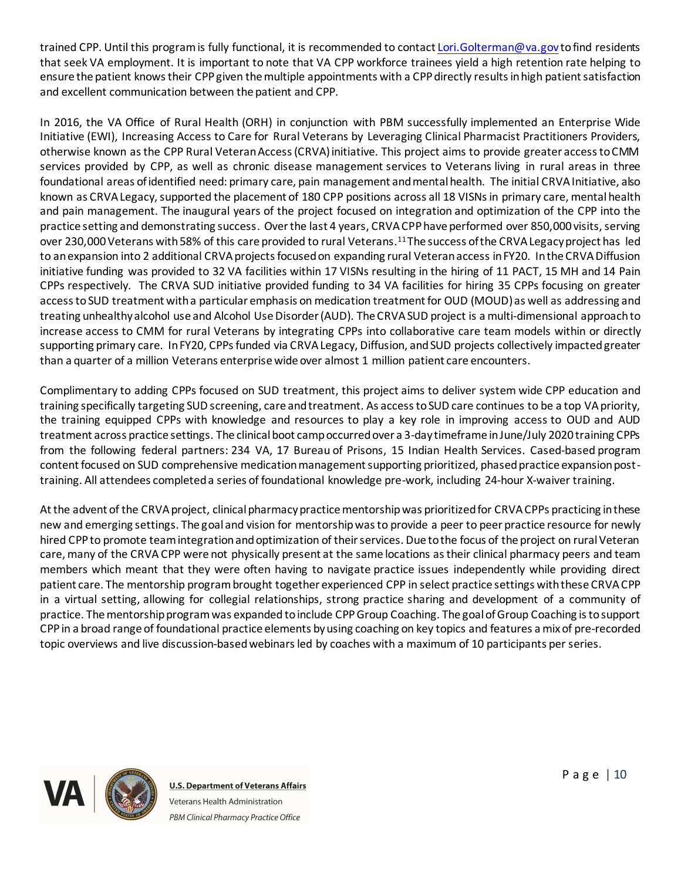trained CPP. Until this program is fully functional, it is recommended to contact [Lori.Golterman@va.gov](mailto:Lori.Golterman@va.gov) to find residents that seek VA employment. It is important to note that VA CPP workforce trainees yield a high retention rate helping to ensure the patient knows their CPP given the multiple appointments with a CPP directly results in high patient satisfaction and excellent communication between the patient and CPP.

In 2016, the VA Office of Rural Health (ORH) in conjunction with PBM successfully implemented an Enterprise Wide Initiative (EWI), Increasing Access to Care for Rural Veterans by Leveraging Clinical Pharmacist Practitioners Providers, otherwise known as the CPP Rural Veteran Access (CRVA) initiative. This project aims to provide greater access to CMM services provided by CPP, as well as chronic disease management services to Veterans living in rural areas in three foundational areas of identified need: primary care, pain management and mental health. The initial CRVA Initiative, also known as CRVA Legacy, supported the placement of 180 CPP positions across all 18 VISNs in primary care, mental health and pain management. The inaugural years of the project focused on integration and optimization of the CPP into the practice setting and demonstrating success. Over the last 4 years, CRVA CPPhave performed over 850,000 visits, serving over 230,000 Veterans with 58% of this care provided to rural Veterans.<sup>11</sup> The success of the CRVA Legacy project has led to anexpansion into 2 additional CRVA projects focused on expanding rural Veteran access in FY20. In the CRVA Diffusion initiative funding was provided to 32 VA facilities within 17 VISNs resulting in the hiring of 11 PACT, 15 MH and 14 Pain CPPs respectively. The CRVA SUD initiative provided funding to 34 VA facilities for hiring 35 CPPs focusing on greater access to SUD treatment with a particular emphasis on medication treatment for OUD (MOUD) as well as addressing and treating unhealthy alcohol use and Alcohol Use Disorder (AUD). The CRVA SUD project is a multi-dimensional approach to increase access to CMM for rural Veterans by integrating CPPs into collaborative care team models within or directly supporting primary care. In FY20, CPPs funded via CRVA Legacy, Diffusion, and SUD projects collectively impacted greater than a quarter of a million Veterans enterprise wide over almost 1 million patient care encounters.

Complimentary to adding CPPs focused on SUD treatment, this project aims to deliver system wide CPP education and training specifically targeting SUD screening, care and treatment. As access to SUD care continues to be a top VA priority, the training equipped CPPs with knowledge and resources to play a key role in improving access to OUD and AUD treatment across practice settings. The clinical boot camp occurred over a 3-day timeframe in June/July 2020 training CPPs from the following federal partners: 234 VA, 17 Bureau of Prisons, 15 Indian Health Services. Cased-based program content focused on SUD comprehensive medication management supporting prioritized, phased practice expansion posttraining. All attendees completed a series of foundational knowledge pre-work, including 24-hour X-waiver training.

At the advent of the CRVA project, clinical pharmacy practice mentorshipwas prioritized for CRVA CPPs practicing in these new and emerging settings. The goal and vision for mentorship was to provide a peer to peer practice resource for newly hired CPPto promote team integration and optimization of their services. Due to the focus of the project on rural Veteran care, many of the CRVA CPP were not physically present at the same locations as their clinical pharmacy peers and team members which meant that they were often having to navigate practice issues independently while providing direct patient care. The mentorship program brought together experienced CPP in select practice settings with these CRVA CPP in a virtual setting, allowing for collegial relationships, strong practice sharing and development of a community of practice. The mentorship program was expanded to include CPPGroup Coaching. The goal of Group Coaching is to support CPPin a broad range of foundational practice elements by using coaching on key topics and features a mix of pre-recorded topic overviews and live discussion-based webinars led by coaches with a maximum of 10 participants per series.

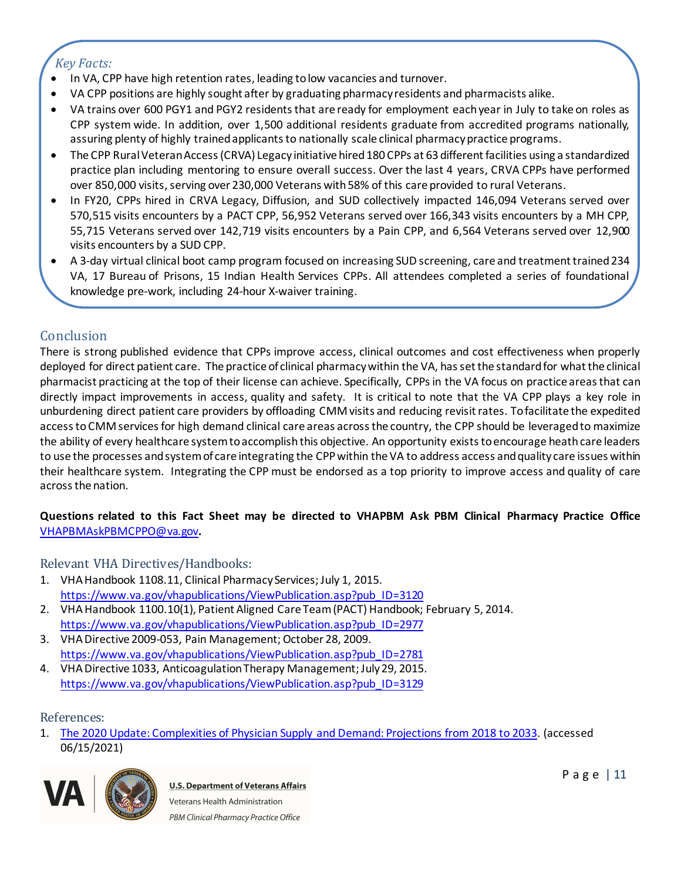### *Key Facts:*

- · In VA, CPP have high retention rates, leading to low vacancies and turnover.
- · VA CPP positions are highly sought after by graduating pharmacy residents and pharmacists alike.
- · VA trains over 600 PGY1 and PGY2 residents that are ready for employment each year in July to take on roles as CPP system wide. In addition, over 1,500 additional residents graduate from accredited programs nationally, assuring plenty of highly trained applicants to nationally scale clinical pharmacy practice programs.
- · The CPP Rural Veteran Access (CRVA) Legacy initiative hired 180 CPPs at 63 different facilities using a standardized practice plan including mentoring to ensure overall success. Over the last 4 years, CRVA CPPs have performed over 850,000 visits, serving over 230,000 Veterans with 58% of this care provided to rural Veterans.
- · In FY20, CPPs hired in CRVA Legacy, Diffusion, and SUD collectively impacted 146,094 Veterans served over 570,515 visits encounters by a PACT CPP, 56,952 Veterans served over 166,343 visits encounters by a MH CPP, 55,715 Veterans served over 142,719 visits encounters by a Pain CPP, and 6,564 Veterans served over 12,900 visits encounters by a SUD CPP.
- · A 3-day virtual clinical boot camp program focused on increasing SUD screening, care and treatment trained 234 VA, 17 Bureau of Prisons, 15 Indian Health Services CPPs. All attendees completed a series of foundational knowledge pre-work, including 24-hour X-waiver training.

### **Conclusion**

There is strong published evidence that CPPs improve access, clinical outcomes and cost effectiveness when properly deployed for direct patient care. The practice of clinical pharmacy within the VA, has set the standard for what the clinical pharmacist practicing at the top of their license can achieve. Specifically, CPPs in the VA focus on practice areas that can directly impact improvements in access, quality and safety. It is critical to note that the VA CPP plays a key role in unburdening direct patient care providers by offloading CMM visits and reducing revisit rates. To facilitate the expedited access to CMM services for high demand clinical care areas across the country, the CPP should be leveraged to maximize the ability of every healthcare system to accomplish this objective. An opportunity exists to encourage heath care leaders to use the processes and system of care integrating the CPPwithin the VA to address access and quality care issues within their healthcare system. Integrating the CPP must be endorsed as a top priority to improve access and quality of care across the nation.

#### **Questions related to this Fact Sheet may be directed to VHAPBM Ask PBM Clinical Pharmacy Practice Office**  [VHAPBMAskPBMCPPO@va.gov](mailto:VHAPBMAskPBMCPPO@va.gov)**.**

#### Relevant VHA Directives/Handbooks:

- 1. VHA Handbook 1108.11, Clinical Pharmacy Services; July 1, 2015. [https://www.va.gov/vhapublications/ViewPublication.asp?pub\\_ID=3120](https://www.va.gov/vhapublications/ViewPublication.asp?pub_ID=3120)
- 2. VHA Handbook 1100.10(1), Patient Aligned Care Team (PACT) Handbook; February 5, 2014. [https://www.va.gov/vhapublications/ViewPublication.asp?pub\\_ID=2977](https://www.va.gov/vhapublications/ViewPublication.asp?pub_ID=2977)
- 3. VHA Directive 2009-053, Pain Management; October 28, 2009. [https://www.va.gov/vhapublications/ViewPublication.asp?pub\\_ID=2781](https://www.va.gov/vhapublications/ViewPublication.asp?pub_ID=2781)
- 4. VHA Directive 1033, Anticoagulation Therapy Management; July 29, 2015. [https://www.va.gov/vhapublications/ViewPublication.asp?pub\\_ID=3129](https://www.va.gov/vhapublications/ViewPublication.asp?pub_ID=3129)

#### References:

1. [The 2020 Update: Complexities of Physician Supply and Demand: Projections from 2018 to 2033](https://www.aamc.org/media/45976/download#:~:text=Demand%20continues%20to%20exceed%20supply,121%2C900%20physicians%20(2019%20report).). (accessed 06/15/2021)